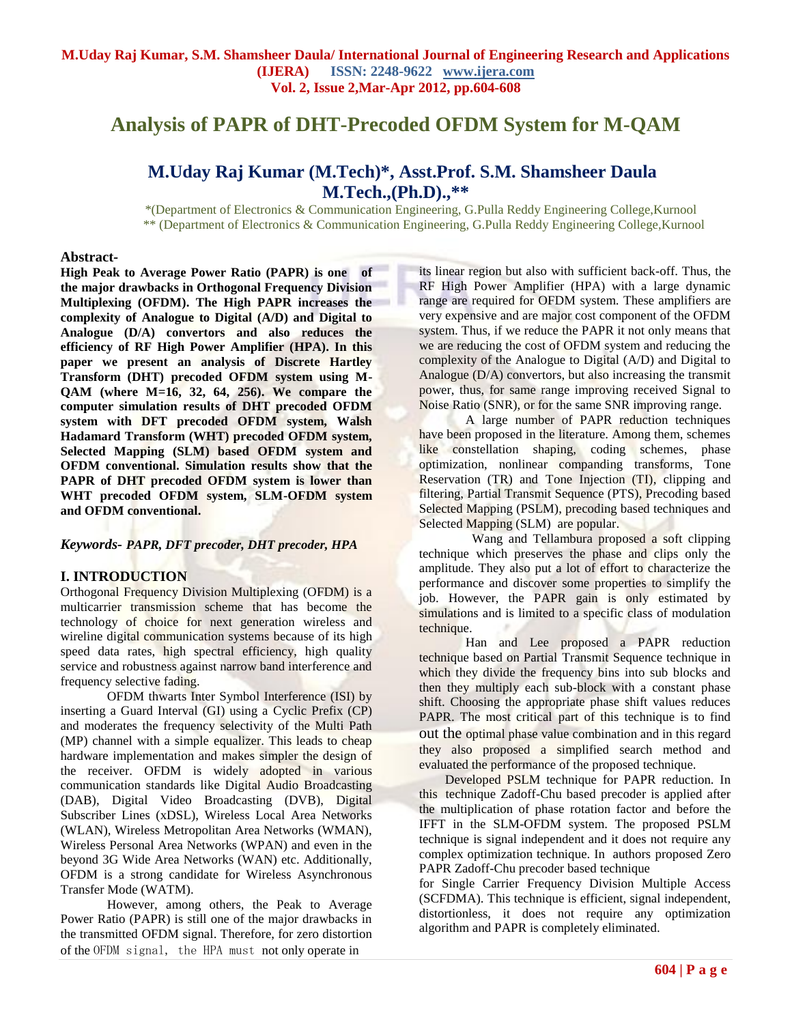# **Analysis of PAPR of DHT-Precoded OFDM System for M-QAM**

# **M.Uday Raj Kumar (M.Tech)\*, Asst.Prof. S.M. Shamsheer Daula M.Tech.,(Ph.D)., \*\***

\*(Department of Electronics & Communication Engineering, G.Pulla Reddy Engineering College,Kurnool \*\* (Department of Electronics & Communication Engineering, G.Pulla Reddy Engineering College,Kurnool

# **Abstract***-*

**High Peak to Average Power Ratio (PAPR) is one of the major drawbacks in Orthogonal Frequency Division Multiplexing (OFDM). The High PAPR increases the complexity of Analogue to Digital (A/D) and Digital to Analogue (D/A) convertors and also reduces the efficiency of RF High Power Amplifier (HPA). In this paper we present an analysis of Discrete Hartley Transform (DHT) precoded OFDM system using M-QAM (where M=16, 32, 64, 256). We compare the computer simulation results of DHT precoded OFDM system with DFT precoded OFDM system, Walsh Hadamard Transform (WHT) precoded OFDM system, Selected Mapping (SLM) based OFDM system and OFDM conventional. Simulation results show that the PAPR of DHT precoded OFDM system is lower than WHT precoded OFDM system, SLM-OFDM system and OFDM conventional.**

# *Keywords- PAPR, DFT precoder, DHT precoder, HPA*

# **I. INTRODUCTION**

Orthogonal Frequency Division Multiplexing (OFDM) is a multicarrier transmission scheme that has become the technology of choice for next generation wireless and wireline digital communication systems because of its high speed data rates, high spectral efficiency, high quality service and robustness against narrow band interference and frequency selective fading.

OFDM thwarts Inter Symbol Interference (ISI) by inserting a Guard Interval (GI) using a Cyclic Prefix (CP) and moderates the frequency selectivity of the Multi Path (MP) channel with a simple equalizer. This leads to cheap hardware implementation and makes simpler the design of the receiver. OFDM is widely adopted in various communication standards like Digital Audio Broadcasting (DAB), Digital Video Broadcasting (DVB), Digital Subscriber Lines (xDSL), Wireless Local Area Networks (WLAN), Wireless Metropolitan Area Networks (WMAN), Wireless Personal Area Networks (WPAN) and even in the beyond 3G Wide Area Networks (WAN) etc. Additionally, OFDM is a strong candidate for Wireless Asynchronous Transfer Mode (WATM).

 However, among others, the Peak to Average Power Ratio (PAPR) is still one of the major drawbacks in the transmitted OFDM signal. Therefore, for zero distortion of the OFDM signal, the HPA must not only operate in

its linear region but also with sufficient back-off. Thus, the RF High Power Amplifier (HPA) with a large dynamic range are required for OFDM system. These amplifiers are very expensive and are major cost component of the OFDM system. Thus, if we reduce the PAPR it not only means that we are reducing the cost of OFDM system and reducing the complexity of the Analogue to Digital (A/D) and Digital to Analogue (D/A) convertors, but also increasing the transmit power, thus, for same range improving received Signal to Noise Ratio (SNR), or for the same SNR improving range.

A large number of PAPR reduction techniques have been proposed in the literature. Among them, schemes like constellation shaping, coding schemes, phase optimization, nonlinear companding transforms, Tone Reservation (TR) and Tone Injection (TI), clipping and filtering, Partial Transmit Sequence (PTS), Precoding based Selected Mapping (PSLM), precoding based techniques and Selected Mapping (SLM) are popular.

 Wang and Tellambura proposed a soft clipping technique which preserves the phase and clips only the amplitude. They also put a lot of effort to characterize the performance and discover some properties to simplify the job. However, the PAPR gain is only estimated by simulations and is limited to a specific class of modulation technique.

Han and Lee proposed a PAPR reduction technique based on Partial Transmit Sequence technique in which they divide the frequency bins into sub blocks and then they multiply each sub-block with a constant phase shift. Choosing the appropriate phase shift values reduces PAPR. The most critical part of this technique is to find out the optimal phase value combination and in this regard they also proposed a simplified search method and evaluated the performance of the proposed technique.

 Developed PSLM technique for PAPR reduction. In this technique Zadoff-Chu based precoder is applied after the multiplication of phase rotation factor and before the IFFT in the SLM-OFDM system. The proposed PSLM technique is signal independent and it does not require any complex optimization technique. In authors proposed Zero PAPR Zadoff-Chu precoder based technique

for Single Carrier Frequency Division Multiple Access (SCFDMA). This technique is efficient, signal independent, distortionless, it does not require any optimization algorithm and PAPR is completely eliminated.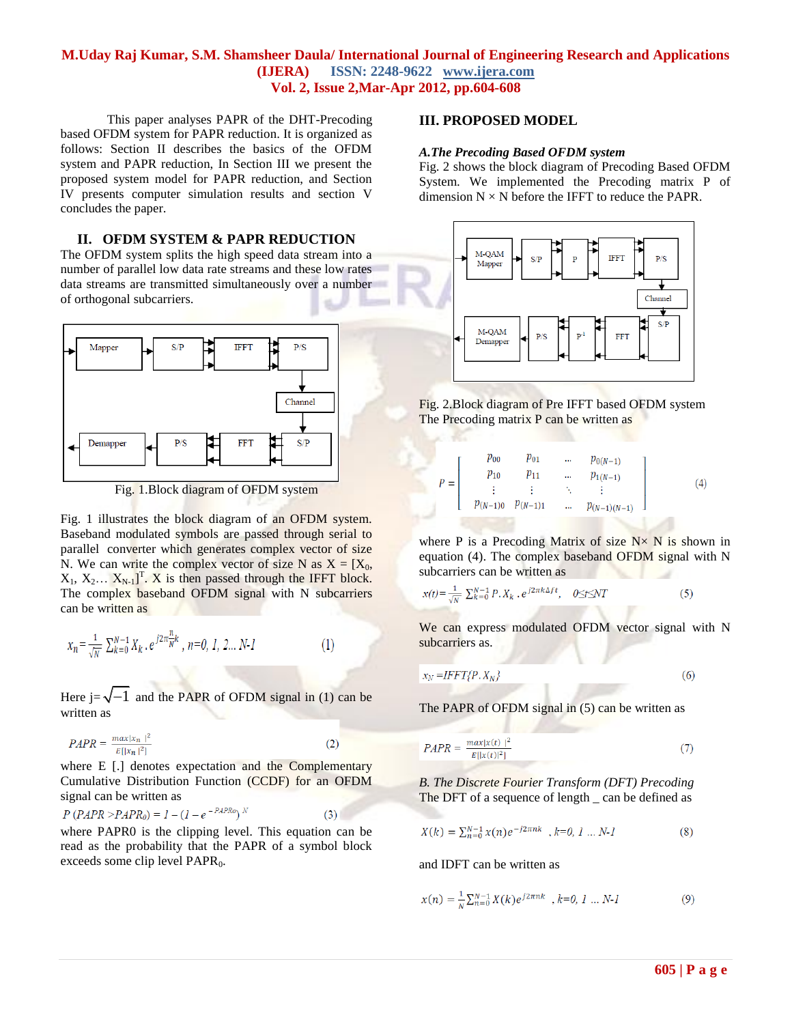This paper analyses PAPR of the DHT-Precoding based OFDM system for PAPR reduction. It is organized as follows: Section II describes the basics of the OFDM system and PAPR reduction, In Section III we present the proposed system model for PAPR reduction, and Section IV presents computer simulation results and section V concludes the paper.

# **II. OFDM SYSTEM & PAPR REDUCTION**

The OFDM system splits the high speed data stream into a number of parallel low data rate streams and these low rates data streams are transmitted simultaneously over a number of orthogonal subcarriers.



Fig. 1.Block diagram of OFDM system

Fig. 1 illustrates the block diagram of an OFDM system. Baseband modulated symbols are passed through serial to parallel converter which generates complex vector of size N. We can write the complex vector of size N as  $X = [X_0,$  $X_1, X_2... X_{N-1}$ <sup>T</sup>. X is then passed through the IFFT block. The complex baseband OFDM signal with N subcarriers can be written as

$$
x_n = \frac{1}{\sqrt{N}} \sum_{k=0}^{N-1} X_k \cdot e^{j2\pi \frac{n}{N}k}, \quad n = 0, 1, 2... N-1
$$
 (1)

Here  $j=\sqrt{-1}$  and the PAPR of OFDM signal in (1) can be written as

$$
PAPR = \frac{\max|x_n|^2}{E[|x_n|^2]}
$$
 (2)

where E [.] denotes expectation and the Complementary Cumulative Distribution Function (CCDF) for an OFDM signal can be written as

$$
P\left(PAPR > PAPR_0\right) = 1 - \left(1 - e^{-PAPR_0}\right)^N\tag{3}
$$

where PAPR0 is the clipping level. This equation can be read as the probability that the PAPR of a symbol block exceeds some clip level  $PAPR<sub>0</sub>$ .

# **III. PROPOSED MODEL**

#### *A.The Precoding Based OFDM system*

Fig. 2 shows the block diagram of Precoding Based OFDM System. We implemented the Precoding matrix P of dimension  $N \times N$  before the IFFT to reduce the PAPR.



Fig. 2.Block diagram of Pre IFFT based OFDM system The Precoding matrix P can be written as

$$
P = \left[ \begin{array}{ccccc} p_{00} & p_{01} & \dots & p_{0(N-1)} \\ p_{10} & p_{11} & \dots & p_{1(N-1)} \\ \vdots & \vdots & \ddots & \vdots \\ p_{(N-1)0} & p_{(N-1)1} & \dots & p_{(N-1)(N-1)} \end{array} \right] \tag{4}
$$

where P is a Precoding Matrix of size  $N \times N$  is shown in equation (4). The complex baseband OFDM signal with N subcarriers can be written as

$$
x(t) = \frac{1}{\sqrt{N}} \sum_{k=0}^{N-1} P \cdot X_k \cdot e^{j2\pi k \Delta ft}, \quad 0 \le t \le NT \tag{5}
$$

We can express modulated OFDM vector signal with N subcarriers as.

$$
x_N = IFFT\{P.X_N\} \tag{6}
$$

The PAPR of OFDM signal in (5) can be written as

$$
PAPR = \frac{\max|x(t)|^2}{E[|x(t)|^2]}
$$
 (7)

*B. The Discrete Fourier Transform (DFT) Precoding* The DFT of a sequence of length \_ can be defined as

$$
X(k) = \sum_{n=0}^{N-1} x(n)e^{-j2\pi nk}, k=0, 1 ... N-1
$$
 (8)

and IDFT can be written as

$$
x(n) = \frac{1}{N} \sum_{n=0}^{N-1} X(k) e^{j2\pi nk}, k=0, 1 ... N-1
$$
 (9)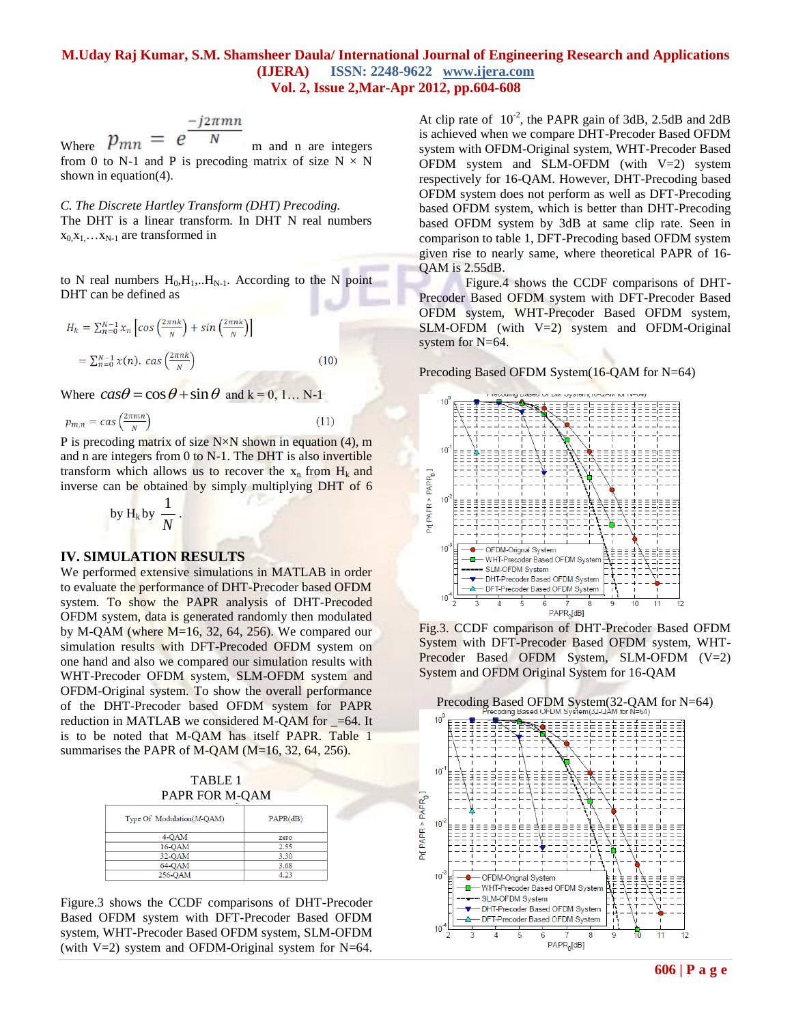$$
-j2\pi mn
$$

Where  $p_{mn} = e N$  m and n are integers from 0 to N-1 and P is precoding matrix of size  $N \times N$ shown in equation(4).

*C. The Discrete Hartley Transform (DHT) Precoding.* The DHT is a linear transform. In DHT N real numbers  $x_0, x_1, \ldots, x_{N-1}$  are transformed in

to N real numbers  $H_0, H_1, \ldots, H_{N-1}$ . According to the N point DHT can be defined as

$$
H_k = \sum_{n=0}^{N-1} x_n \left[ \cos \left( \frac{2\pi n k}{N} \right) + \sin \left( \frac{2\pi n k}{N} \right) \right]
$$
  
=  $\sum_{n=0}^{N-1} x(n)$ .  $\cos \left( \frac{2\pi n k}{N} \right)$  (10)

Where  $\cos\theta = \cos\theta + \sin\theta$  and k = 0, 1... N-1

$$
p_{m,n} = \text{cas}\left(\frac{2\pi mn}{N}\right) \tag{11}
$$

P is precoding matrix of size  $N \times N$  shown in equation (4), m and n are integers from 0 to N-1. The DHT is also invertible transform which allows us to recover the  $x_n$  from  $H_k$  and inverse can be obtained by simply multiplying DHT of 6

by H<sub>k</sub> by 
$$
\frac{1}{N}
$$
.

#### **IV. SIMULATION RESULTS**

We performed extensive simulations in MATLAB in order to evaluate the performance of DHT-Precoder based OFDM system. To show the PAPR analysis of DHT-Precoded OFDM system, data is generated randomly then modulated by M-QAM (where M=16, 32, 64, 256). We compared our simulation results with DFT-Precoded OFDM system on one hand and also we compared our simulation results with WHT-Precoder OFDM system, SLM-OFDM system and OFDM-Original system. To show the overall performance of the DHT-Precoder based OFDM system for PAPR reduction in MATLAB we considered M-QAM for  $=64$ . It is to be noted that M-QAM has itself PAPR. Table 1 summarises the PAPR of M-QAM (M=16, 32, 64, 256).

TABLE 1 PAPR FOR M-QAM

| Type Of Modulation(M-QAM) | PAPR(dB) |
|---------------------------|----------|
| 4-OAM                     | zero     |
| 16-OAM                    | 2.55     |
| 32-QAM                    | 3.30     |
| 64-OAM                    | 3.68     |
| 256-OAM                   | 4.23     |

Figure.3 shows the CCDF comparisons of DHT-Precoder Based OFDM system with DFT-Precoder Based OFDM system, WHT-Precoder Based OFDM system, SLM-OFDM (with V=2) system and OFDM-Original system for N=64.

At clip rate of  $10^{-2}$ , the PAPR gain of 3dB, 2.5dB and 2dB is achieved when we compare DHT-Precoder Based OFDM system with OFDM-Original system, WHT-Precoder Based OFDM system and SLM-OFDM (with  $V=2$ ) system respectively for 16-QAM. However, DHT-Precoding based OFDM system does not perform as well as DFT-Precoding based OFDM system, which is better than DHT-Precoding based OFDM system by 3dB at same clip rate. Seen in comparison to table 1, DFT-Precoding based OFDM system given rise to nearly same, where theoretical PAPR of 16- QAM is 2.55dB.

Figure.4 shows the CCDF comparisons of DHT-Precoder Based OFDM system with DFT-Precoder Based OFDM system, WHT-Precoder Based OFDM system, SLM-OFDM (with  $V=2$ ) system and OFDM-Original system for N=64.

Precoding Based OFDM System(16-QAM for N=64)



Fig.3. CCDF comparison of DHT-Precoder Based OFDM System with DFT-Precoder Based OFDM system, WHT-Precoder Based OFDM System, SLM-OFDM (V=2) System and OFDM Original System for 16-QAM

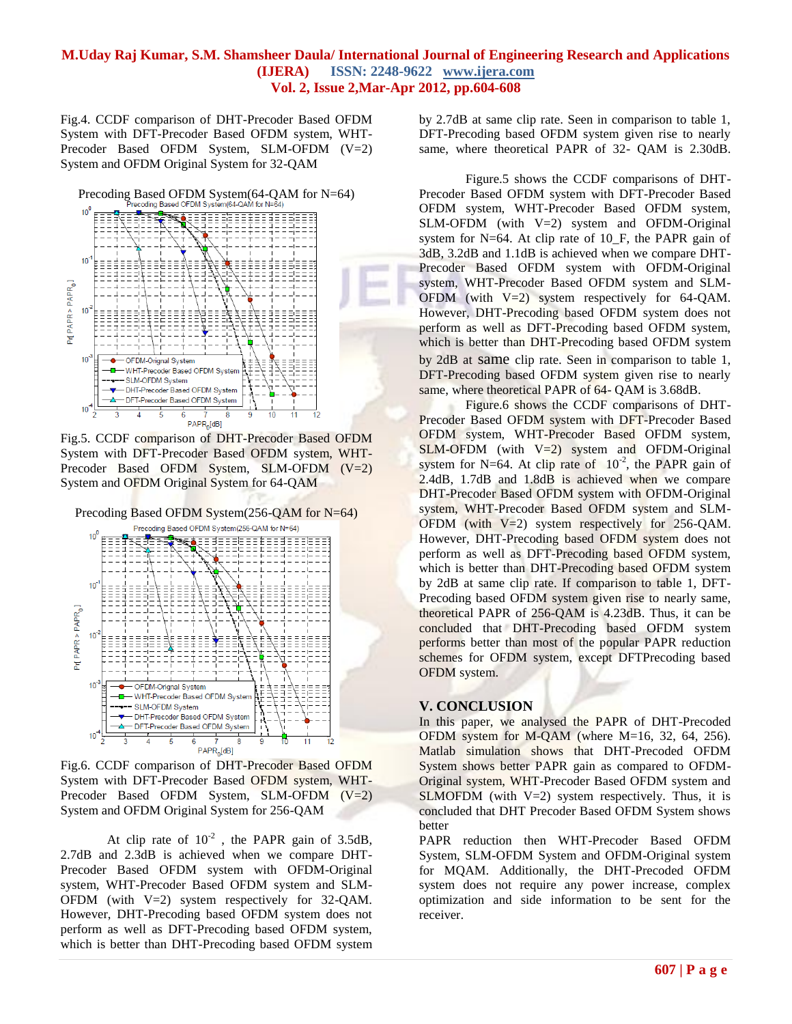Fig.4. CCDF comparison of DHT-Precoder Based OFDM System with DFT-Precoder Based OFDM system, WHT-Precoder Based OFDM System, SLM-OFDM (V=2) System and OFDM Original System for 32-QAM



Fig.5. CCDF comparison of DHT-Precoder Based OFDM System with DFT-Precoder Based OFDM system, WHT-Precoder Based OFDM System, SLM-OFDM (V=2) System and OFDM Original System for 64-QAM



Fig.6. CCDF comparison of DHT-Precoder Based OFDM System with DFT-Precoder Based OFDM system, WHT-Precoder Based OFDM System, SLM-OFDM (V=2) System and OFDM Original System for 256-QAM

At clip rate of  $10^{-2}$ , the PAPR gain of 3.5dB, 2.7dB and 2.3dB is achieved when we compare DHT-Precoder Based OFDM system with OFDM-Original system, WHT-Precoder Based OFDM system and SLM-OFDM (with V=2) system respectively for 32-QAM. However, DHT-Precoding based OFDM system does not perform as well as DFT-Precoding based OFDM system, which is better than DHT-Precoding based OFDM system

by 2.7dB at same clip rate. Seen in comparison to table 1, DFT-Precoding based OFDM system given rise to nearly same, where theoretical PAPR of 32- QAM is 2.30dB.

Figure.5 shows the CCDF comparisons of DHT-Precoder Based OFDM system with DFT-Precoder Based OFDM system, WHT-Precoder Based OFDM system,  $SLM$ -OFDM (with V=2) system and OFDM-Original system for  $N=64$ . At clip rate of 10 F, the PAPR gain of 3dB, 3.2dB and 1.1dB is achieved when we compare DHT-Precoder Based OFDM system with OFDM-Original system, WHT-Precoder Based OFDM system and SLM-OFDM (with V=2) system respectively for 64-QAM. However, DHT-Precoding based OFDM system does not perform as well as DFT-Precoding based OFDM system, which is better than DHT-Precoding based OFDM system by 2dB at same clip rate. Seen in comparison to table 1, DFT-Precoding based OFDM system given rise to nearly same, where theoretical PAPR of 64- QAM is 3.68dB.

Figure.6 shows the CCDF comparisons of DHT-Precoder Based OFDM system with DFT-Precoder Based OFDM system, WHT-Precoder Based OFDM system,  $SLM$ -OFDM (with  $V=2$ ) system and OFDM-Original system for N=64. At clip rate of  $10^{-2}$ , the PAPR gain of 2.4dB, 1.7dB and 1.8dB is achieved when we compare DHT-Precoder Based OFDM system with OFDM-Original system, WHT-Precoder Based OFDM system and SLM-OFDM (with  $V=2$ ) system respectively for 256-QAM. However, DHT-Precoding based OFDM system does not perform as well as DFT-Precoding based OFDM system, which is better than DHT-Precoding based OFDM system by 2dB at same clip rate. If comparison to table 1, DFT-Precoding based OFDM system given rise to nearly same, theoretical PAPR of 256-QAM is 4.23dB. Thus, it can be concluded that DHT-Precoding based OFDM system performs better than most of the popular PAPR reduction schemes for OFDM system, except DFTPrecoding based OFDM system.

# **V. CONCLUSION**

In this paper, we analysed the PAPR of DHT-Precoded OFDM system for M-QAM (where M=16, 32, 64, 256). Matlab simulation shows that DHT-Precoded OFDM System shows better PAPR gain as compared to OFDM-Original system, WHT-Precoder Based OFDM system and SLMOFDM (with  $V=2$ ) system respectively. Thus, it is concluded that DHT Precoder Based OFDM System shows better

PAPR reduction then WHT-Precoder Based OFDM System, SLM-OFDM System and OFDM-Original system for MQAM. Additionally, the DHT-Precoded OFDM system does not require any power increase, complex optimization and side information to be sent for the receiver.